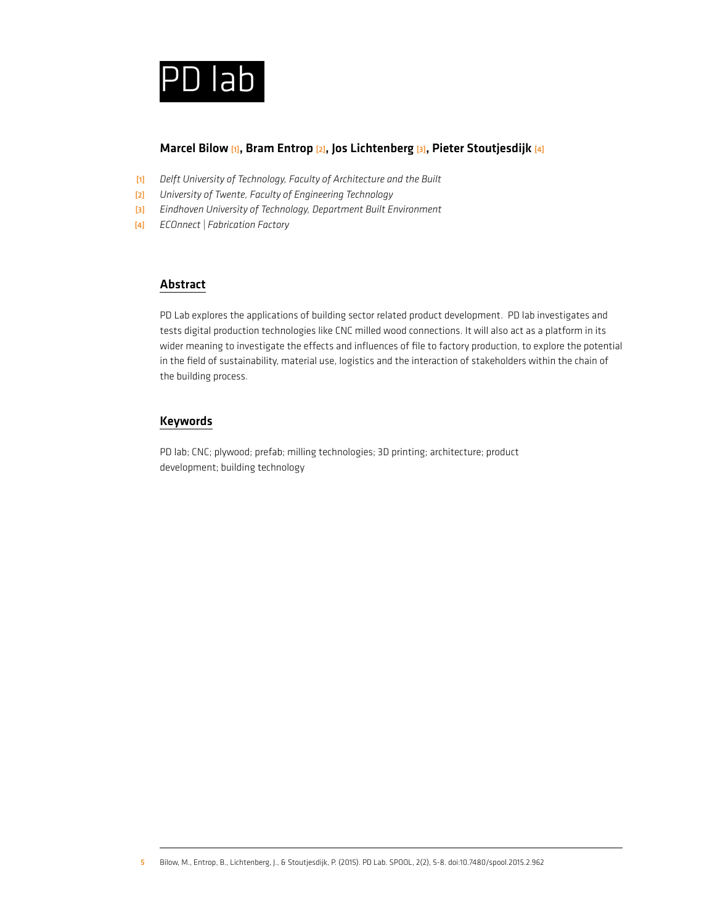

## Marcel Bilow [1], Bram Entrop [2], Jos Lichtenberg [3], Pieter Stoutjesdijk [4]

- [1] *Delft University of Technology, Faculty of Architecture and the Built*
- [2] *University of Twente, Faculty of Engineering Technology*
- [3] *Eindhoven University of Technology, Department Built Environment*
- [4] *ECOnnect | Fabrication Factory*

## Abstract

PD Lab explores the applications of building sector related product development. PD lab investigates and tests digital production technologies like CNC milled wood connections. It will also act as a platform in its wider meaning to investigate the effects and influences of file to factory production, to explore the potential in the field of sustainability, material use, logistics and the interaction of stakeholders within the chain of the building process.

## Keywords

PD lab; CNC; plywood; prefab; milling technologies; 3D printing; architecture; product development; building technology

<sup>5</sup> Bilow, M., Entrop, B., Lichtenberg, J., & Stoutjesdijk, P. (2015). PD Lab. SPOOL, 2(2), 5-8. doi:10.7480/spool.2015.2.962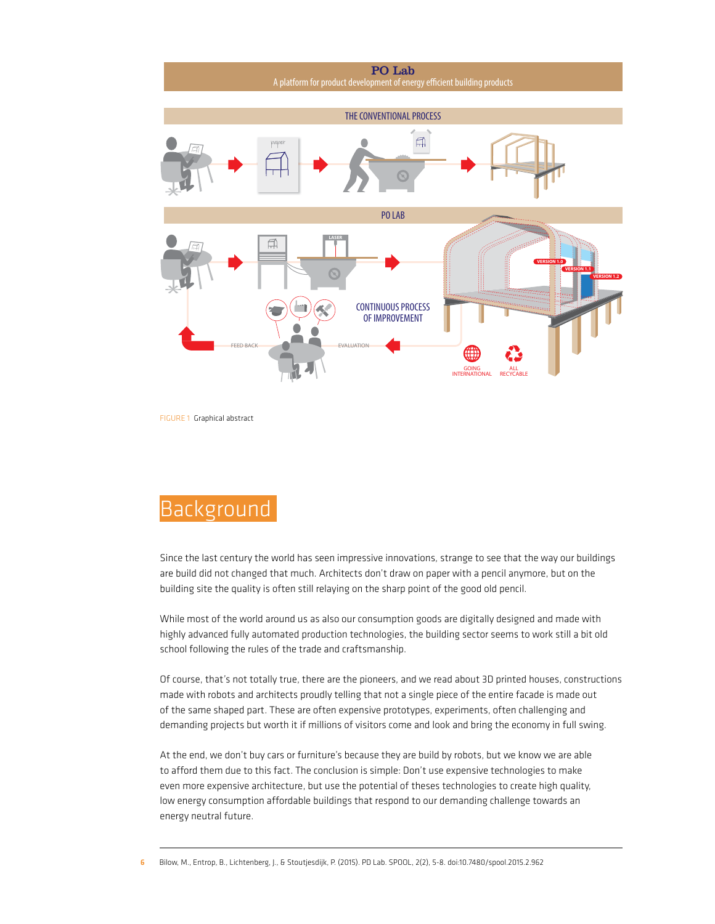

FIGURE 1 Graphical abstract

## Background

Since the last century the world has seen impressive innovations, strange to see that the way our buildings are build did not changed that much. Architects don't draw on paper with a pencil anymore, but on the building site the quality is often still relaying on the sharp point of the good old pencil.

While most of the world around us as also our consumption goods are digitally designed and made with highly advanced fully automated production technologies, the building sector seems to work still a bit old school following the rules of the trade and craftsmanship.

Of course, that's not totally true, there are the pioneers, and we read about 3D printed houses, constructions made with robots and architects proudly telling that not a single piece of the entire facade is made out of the same shaped part. These are often expensive prototypes, experiments, often challenging and demanding projects but worth it if millions of visitors come and look and bring the economy in full swing.

At the end, we don't buy cars or furniture's because they are build by robots, but we know we are able to afford them due to this fact. The conclusion is simple: Don't use expensive technologies to make even more expensive architecture, but use the potential of theses technologies to create high quality, low energy consumption affordable buildings that respond to our demanding challenge towards an energy neutral future.

6 Bilow, M., Entrop, B., Lichtenberg, J., & Stoutjesdijk, P. (2015). PD Lab. SPOOL, 2(2), 5-8. doi:10.7480/spool.2015.2.962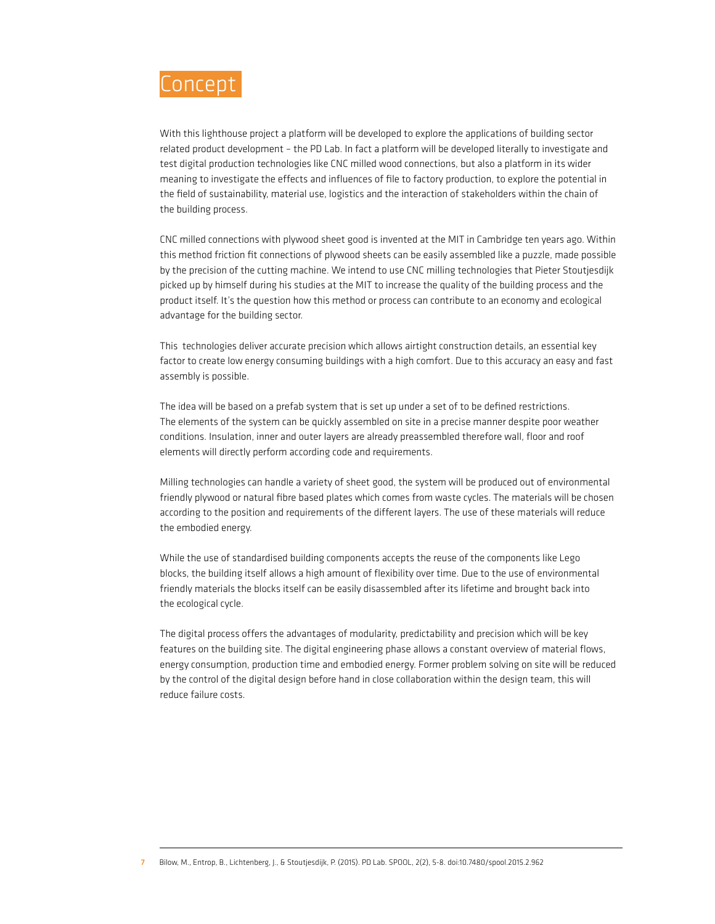

With this lighthouse project a platform will be developed to explore the applications of building sector related product development – the PD Lab. In fact a platform will be developed literally to investigate and test digital production technologies like CNC milled wood connections, but also a platform in its wider meaning to investigate the effects and influences of file to factory production, to explore the potential in the field of sustainability, material use, logistics and the interaction of stakeholders within the chain of the building process.

CNC milled connections with plywood sheet good is invented at the MIT in Cambridge ten years ago. Within this method friction fit connections of plywood sheets can be easily assembled like a puzzle, made possible by the precision of the cutting machine. We intend to use CNC milling technologies that Pieter Stoutjesdijk picked up by himself during his studies at the MIT to increase the quality of the building process and the product itself. It's the question how this method or process can contribute to an economy and ecological advantage for the building sector.

This technologies deliver accurate precision which allows airtight construction details, an essential key factor to create low energy consuming buildings with a high comfort. Due to this accuracy an easy and fast assembly is possible.

The idea will be based on a prefab system that is set up under a set of to be defined restrictions. The elements of the system can be quickly assembled on site in a precise manner despite poor weather conditions. Insulation, inner and outer layers are already preassembled therefore wall, floor and roof elements will directly perform according code and requirements.

Milling technologies can handle a variety of sheet good, the system will be produced out of environmental friendly plywood or natural fibre based plates which comes from waste cycles. The materials will be chosen according to the position and requirements of the different layers. The use of these materials will reduce the embodied energy.

While the use of standardised building components accepts the reuse of the components like Lego blocks, the building itself allows a high amount of flexibility over time. Due to the use of environmental friendly materials the blocks itself can be easily disassembled after its lifetime and brought back into the ecological cycle.

The digital process offers the advantages of modularity, predictability and precision which will be key features on the building site. The digital engineering phase allows a constant overview of material flows, energy consumption, production time and embodied energy. Former problem solving on site will be reduced by the control of the digital design before hand in close collaboration within the design team, this will reduce failure costs.